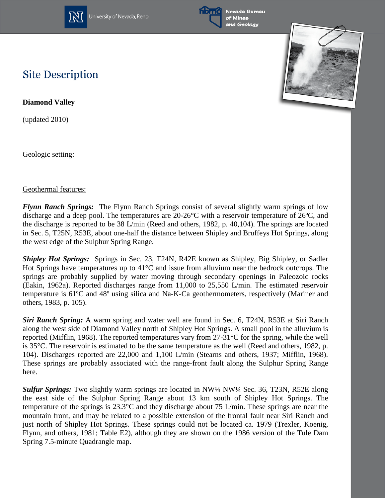

University of Nevada, Reno



Nevada Bureau of Mines and Geology



## **Site Description**

**Diamond Valley**

(updated 2010)

Geologic setting:

## Geothermal features:

*Flynn Ranch Springs:* The Flynn Ranch Springs consist of several slightly warm springs of low discharge and a deep pool. The temperatures are 20-26°C with a reservoir temperature of 26ºC, and the discharge is reported to be 38 L/min (Reed and others, 1982, p. 40,104). The springs are located in Sec. 5, T25N, R53E, about one-half the distance between Shipley and Bruffeys Hot Springs, along the west edge of the Sulphur Spring Range.

*Shipley Hot Springs:* Springs in Sec. 23, T24N, R42E known as Shipley, Big Shipley, or Sadler Hot Springs have temperatures up to 41°C and issue from alluvium near the bedrock outcrops. The springs are probably supplied by water moving through secondary openings in Paleozoic rocks (Eakin, 1962a). Reported discharges range from 11,000 to 25,550 L/min. The estimated reservoir temperature is 61ºC and 48º using silica and Na-K-Ca geothermometers, respectively (Mariner and others, 1983, p. 105).

*Siri Ranch Spring:* A warm spring and water well are found in Sec. 6, T24N, R53E at Siri Ranch along the west side of Diamond Valley north of Shipley Hot Springs. A small pool in the alluvium is reported (Mifflin, 1968). The reported temperatures vary from 27-31°C for the spring, while the well is 35°C. The reservoir is estimated to be the same temperature as the well (Reed and others, 1982, p. 104). Discharges reported are 22,000 and 1,100 L/min (Stearns and others, 1937; Mifflin, 1968). These springs are probably associated with the range-front fault along the Sulphur Spring Range here.

*Sulfur Springs:* Two slightly warm springs are located in NW¼ NW¼ Sec. 36, T23N, R52E along the east side of the Sulphur Spring Range about 13 km south of Shipley Hot Springs. The temperature of the springs is 23.3°C and they discharge about 75 L/min. These springs are near the mountain front, and may be related to a possible extension of the frontal fault near Siri Ranch and just north of Shipley Hot Springs. These springs could not be located ca. 1979 (Trexler, Koenig, Flynn, and others, 1981; Table E2), although they are shown on the 1986 version of the Tule Dam Spring 7.5-minute Quadrangle map.